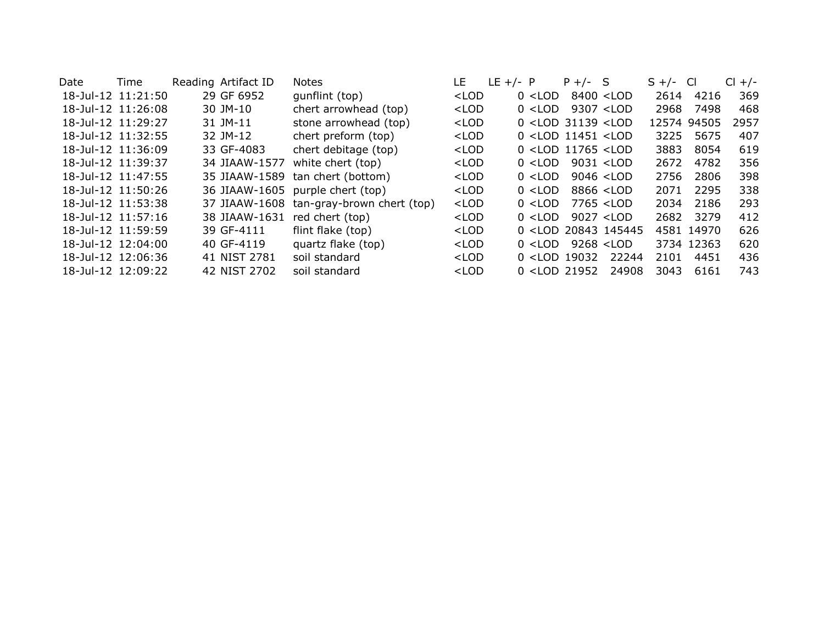| Date | Time               | Reading Artifact ID | <b>Notes</b>               | LE                                                                                                                                              | $LE +/- P$ |           | $P +/-$ S                                                                                 |                                                                                 | $S +/-$ | - Cl       | <b>CI</b><br>$+/-$ |
|------|--------------------|---------------------|----------------------------|-------------------------------------------------------------------------------------------------------------------------------------------------|------------|-----------|-------------------------------------------------------------------------------------------|---------------------------------------------------------------------------------|---------|------------|--------------------|
|      | 18-Jul-12 11:21:50 | 29 GF 6952          | qunflint (top)             | <lod< td=""><td></td><td><math>0</math> &lt; LOD</td><td></td><td>8400 <lod< td=""><td>2614</td><td>4216</td><td>369</td></lod<></td></lod<>    |            | $0$ < LOD |                                                                                           | 8400 <lod< td=""><td>2614</td><td>4216</td><td>369</td></lod<>                  | 2614    | 4216       | 369                |
|      | 18-Jul-12 11:26:08 | 30 JM-10            | chert arrowhead (top)      | $<$ LOD                                                                                                                                         |            | $0$ < LOD |                                                                                           | 9307 <lod< td=""><td>2968</td><td>7498</td><td>468</td></lod<>                  | 2968    | 7498       | 468                |
|      | 18-Jul-12 11:29:27 | 31 JM-11            | stone arrowhead (top)      | $<$ LOD                                                                                                                                         |            |           | $0$ <lod 31139="" <lod<="" td=""><td></td><td>12574</td><td>94505</td><td>2957</td></lod> |                                                                                 | 12574   | 94505      | 2957               |
|      | 18-Jul-12 11:32:55 | 32 JM-12            | chert preform (top)        | $<$ LOD                                                                                                                                         |            |           | $0$ <lod 11451="" <lod<="" td=""><td></td><td>3225</td><td>5675</td><td>407</td></lod>    |                                                                                 | 3225    | 5675       | 407                |
|      | 18-Jul-12 11:36:09 | 33 GF-4083          | chert debitage (top)       | <lod< td=""><td></td><td></td><td><math>0</math> <lod 11765="" <lod<="" td=""><td></td><td>3883</td><td>8054</td><td>619</td></lod></td></lod<> |            |           | $0$ <lod 11765="" <lod<="" td=""><td></td><td>3883</td><td>8054</td><td>619</td></lod>    |                                                                                 | 3883    | 8054       | 619                |
|      | 18-Jul-12 11:39:37 | 34 JIAAW-1577       | white chert (top)          | $<$ LOD                                                                                                                                         |            | $0$ < LOD |                                                                                           | 9031 <lod< td=""><td>2672</td><td>4782</td><td>356</td></lod<>                  | 2672    | 4782       | 356                |
|      | 18-Jul-12 11:47:55 | 35 JIAAW-1589       | tan chert (bottom)         | $<$ LOD                                                                                                                                         |            | $0$ < LOD |                                                                                           | $9046$ < LOD                                                                    | 2756    | 2806       | 398                |
|      | 18-Jul-12 11:50:26 | 36 JIAAW-1605       | purple chert (top)         | $<$ LOD                                                                                                                                         |            | $0$ < LOD |                                                                                           | 8866 <lod< td=""><td>2071</td><td>2295</td><td>338</td></lod<>                  | 2071    | 2295       | 338                |
|      | 18-Jul-12 11:53:38 | 37 JIAAW-1608       | tan-gray-brown chert (top) | $<$ LOD                                                                                                                                         |            | $0$ < LOD |                                                                                           | 7765 <lod< td=""><td>2034</td><td>2186</td><td>293</td></lod<>                  | 2034    | 2186       | 293                |
|      | 18-Jul-12 11:57:16 | 38 JIAAW-1631       | red chert (top)            | $<$ LOD                                                                                                                                         |            | $0$ < LOD |                                                                                           | 9027 < LOD                                                                      | 2682    | 3279       | 412                |
|      | 18-Jul-12 11:59:59 | 39 GF-4111          | flint flake (top)          | $<$ LOD                                                                                                                                         |            |           |                                                                                           | 0 <lod 145445<="" 20843="" td=""><td></td><td>4581 14970</td><td>626</td></lod> |         | 4581 14970 | 626                |
|      | 18-Jul-12 12:04:00 | 40 GF-4119          | quartz flake (top)         | $<$ LOD                                                                                                                                         |            | $0$ < LOD |                                                                                           | $9268 <$ LOD                                                                    |         | 3734 12363 | 620                |
|      | 18-Jul-12 12:06:36 | 41 NIST 2781        | soil standard              | $<$ LOD                                                                                                                                         |            |           | $0$ <lod 19032<="" td=""><td>22244</td><td>2101</td><td>4451</td><td>436</td></lod>       | 22244                                                                           | 2101    | 4451       | 436                |
|      | 18-Jul-12 12:09:22 | 42 NIST 2702        | soil standard              | $<$ LOD                                                                                                                                         |            |           | $0$ <lod 21952<="" td=""><td>24908</td><td>3043</td><td>6161</td><td>743</td></lod>       | 24908                                                                           | 3043    | 6161       | 743                |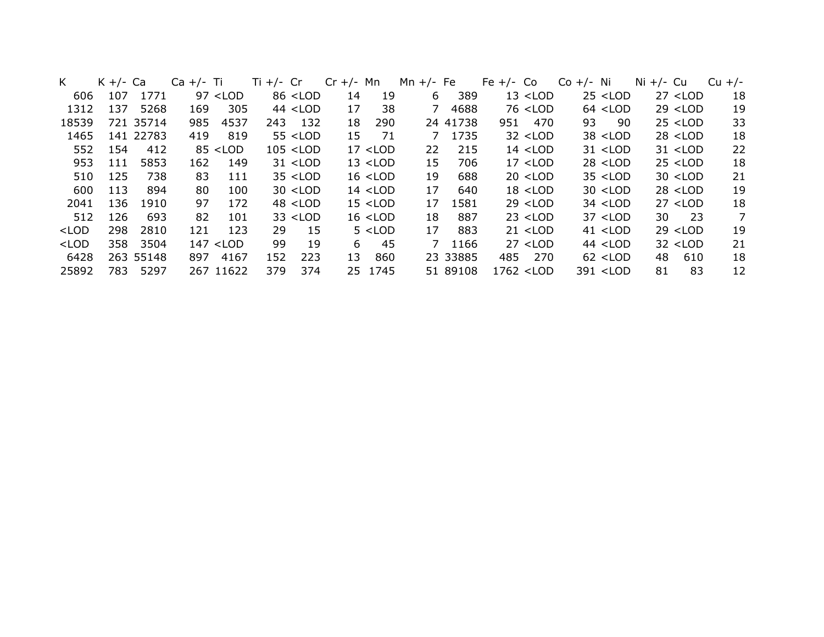| K                                                                                                                                                                                                                                                                                                                                      | $K +/-$ Ca |           | $Ca +/- Ti$ |             | Ti $+/-$ Cr |                                                                                                                                                                                                                        | $Cr +/-$ Mn |            | Mn $+/-$ Fe    |          | Fe $+/-$ Co |                                                                                                                         | $Co +/- Ni$ |                                                          | Ni $+/-$ Cu |                                     | $Cu +/-$ |
|----------------------------------------------------------------------------------------------------------------------------------------------------------------------------------------------------------------------------------------------------------------------------------------------------------------------------------------|------------|-----------|-------------|-------------|-------------|------------------------------------------------------------------------------------------------------------------------------------------------------------------------------------------------------------------------|-------------|------------|----------------|----------|-------------|-------------------------------------------------------------------------------------------------------------------------|-------------|----------------------------------------------------------|-------------|-------------------------------------|----------|
| 606                                                                                                                                                                                                                                                                                                                                    | 107        | 1771      |             | $97$ < LOD  |             | 86 <lod< td=""><td>14</td><td>19</td><td>6</td><td>389</td><td></td><td><math>13</math> <lod< td=""><td></td><td><math>25</math> &lt; LOD</td><td></td><td><math>27</math> &lt; LOD</td><td>18</td></lod<></td></lod<> | 14          | 19         | 6              | 389      |             | $13$ <lod< td=""><td></td><td><math>25</math> &lt; LOD</td><td></td><td><math>27</math> &lt; LOD</td><td>18</td></lod<> |             | $25$ < LOD                                               |             | $27$ < LOD                          | 18       |
| 1312                                                                                                                                                                                                                                                                                                                                   | 137        | 5268      | 169         | 305         |             | $44$ < LOD                                                                                                                                                                                                             | 17          | 38         | 7              | 4688     |             | 76 <lod< td=""><td></td><td><math>64</math> &lt; LOD</td><td></td><td><math>29</math> &lt; LOD</td><td>19</td></lod<>   |             | $64$ < LOD                                               |             | $29$ < LOD                          | 19       |
| 18539                                                                                                                                                                                                                                                                                                                                  |            | 721 35714 | 985         | 4537        | 243         | 132                                                                                                                                                                                                                    | 18          | 290        |                | 24 41738 | 951         | 470                                                                                                                     | 93          | 90                                                       |             | $25$ < LOD                          | 33       |
| 1465                                                                                                                                                                                                                                                                                                                                   |            | 141 22783 | 419         | 819         |             | $55$ < LOD                                                                                                                                                                                                             | 15          | -71        | 7              | 1735     |             | $32$ < LOD                                                                                                              |             | $38$ < LOD                                               |             | $28$ < LOD                          | 18       |
| 552                                                                                                                                                                                                                                                                                                                                    | 154        | 412       |             | $85$ < LOD  |             | $105$ < LOD                                                                                                                                                                                                            |             | $17$ < LOD | 22             | 215      |             | $14$ < LOD                                                                                                              |             | $31$ < LOD                                               |             | $31$ < LOD                          | 22       |
| 953                                                                                                                                                                                                                                                                                                                                    | 111        | 5853      | 162         | 149         |             | $31$ < LOD                                                                                                                                                                                                             |             | $13$ < LOD | 15             | 706      |             | $17$ < LOD                                                                                                              |             | $28$ < LOD                                               |             | $25$ < LOD                          | 18       |
| 510                                                                                                                                                                                                                                                                                                                                    | 125        | 738       | 83          | 111         |             | $35$ < LOD                                                                                                                                                                                                             |             | $16$ < LOD | 19             | 688      |             | $20$ < LOD                                                                                                              |             | $35$ < LOD                                               |             | $30$ <lod< td=""><td>21</td></lod<> | 21       |
| 600                                                                                                                                                                                                                                                                                                                                    | 113        | 894       | 80          | 100         |             | $30$ < LOD                                                                                                                                                                                                             |             | $14$ < LOD | 17             | 640      |             | $18$ < LOD                                                                                                              |             | $30$ < LOD                                               |             | $28$ < LOD                          | 19       |
| 2041                                                                                                                                                                                                                                                                                                                                   | 136        | 1910      | 97          | 172         |             | $48$ < LOD                                                                                                                                                                                                             |             | $15$ < LOD | 17             | 1581     |             | $29$ < LOD                                                                                                              |             | $34$ < LOD                                               |             | $27$ < LOD                          | 18       |
| 512                                                                                                                                                                                                                                                                                                                                    | 126        | 693       | 82          | 101         |             | $33$ < LOD                                                                                                                                                                                                             |             | $16$ < LOD | 18             | 887      |             | $23$ < LOD                                                                                                              |             | $37$ < LOD                                               | 30          | $\overline{23}$                     | 7        |
| $<$ LOD                                                                                                                                                                                                                                                                                                                                | 298        | 2810      | 121         | 123         | 29          | 15                                                                                                                                                                                                                     |             | $5$ < LOD  | 17             | 883      |             | $21$ < LOD                                                                                                              |             | $41$ < LOD                                               |             | $29$ < LOD                          | 19       |
| <lod< td=""><td>358</td><td>3504</td><td></td><td><math>147</math> &lt; LOD</td><td>99</td><td>19</td><td>6</td><td>-45</td><td><math>\overline{7}</math></td><td>1166</td><td></td><td><math>27</math> &lt; LOD</td><td></td><td><math>44</math> &lt; LOD</td><td></td><td><math>32</math> <lod< td=""><td>21</td></lod<></td></lod<> | 358        | 3504      |             | $147$ < LOD | 99          | 19                                                                                                                                                                                                                     | 6           | -45        | $\overline{7}$ | 1166     |             | $27$ < LOD                                                                                                              |             | $44$ < LOD                                               |             | $32$ <lod< td=""><td>21</td></lod<> | 21       |
| 6428                                                                                                                                                                                                                                                                                                                                   |            | 263 55148 | 897         | 4167        | 152         | 223                                                                                                                                                                                                                    | 13          | 860        |                | 23 33885 | 485         | 270                                                                                                                     |             | $62$ < LOD                                               | 48          | 610                                 | 18       |
| 25892                                                                                                                                                                                                                                                                                                                                  | 783        | 5297      |             | 267 11622   | 379         | 374                                                                                                                                                                                                                    |             | 25 1745    |                | 51 89108 |             | 1762 <lod< td=""><td></td><td>391 <lod< td=""><td>81</td><td>83</td><td>12</td></lod<></td></lod<>                      |             | 391 <lod< td=""><td>81</td><td>83</td><td>12</td></lod<> | 81          | 83                                  | 12       |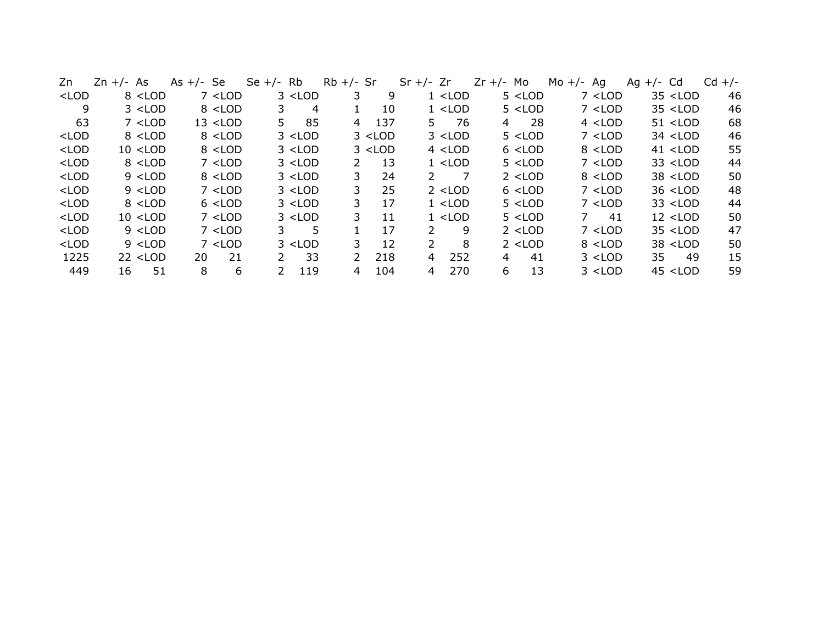| Zn                                                                                                                                                                                                                                                                                                                  | $Zn +/- As$ | Se<br>As $+/-$ | Se $+/-$ | Rb        | $Rb +/-$ Sr   |                                                                                                                                                                     | $Sr$ +/- $Zr$       | $Zr +/-$ Mo | Mo $+/-$<br>Ag | Cd<br>Ag $+/-$                      | $Cd +/-$ |
|---------------------------------------------------------------------------------------------------------------------------------------------------------------------------------------------------------------------------------------------------------------------------------------------------------------------|-------------|----------------|----------|-----------|---------------|---------------------------------------------------------------------------------------------------------------------------------------------------------------------|---------------------|-------------|----------------|-------------------------------------|----------|
| $<$ LOD                                                                                                                                                                                                                                                                                                             | $8$ < LOD   | $7$ < LOD      |          | $3$ < LOD |               | 9                                                                                                                                                                   | $1$ < LOD           | $5$ < LOD   | $7$ < LOD      | $35$ <lod< td=""><td>46</td></lod<> | 46       |
| 9                                                                                                                                                                                                                                                                                                                   | $3$ < LOD   | $8$ < LOD      | 3        | 4         |               | 10                                                                                                                                                                  | $1$ < LOD           | $5$ < LOD   | $7$ < LOD      | $35$ <lod< td=""><td>46</td></lod<> | 46       |
| 63                                                                                                                                                                                                                                                                                                                  | $7$ < LOD   | $13$ < LOD     | 5.       | 85        | 4             | 137                                                                                                                                                                 | -76<br>5.           | 28<br>4     | $4$ < LOD      | $51$ < LOD                          | 68       |
| <lod< td=""><td><math>8</math> &lt; LOD</td><td><math>8</math> &lt; LOD</td><td></td><td><math>3</math> &lt; LOD</td><td></td><td><math>3</math> &lt; LOD</td><td><math>3</math> &lt; LOD</td><td><math>5</math> &lt; LOD</td><td><math>7</math> &lt; LOD</td><td><math>34</math> &lt; LOD</td><td>46</td></lod<>   | $8$ < LOD   | $8$ < LOD      |          | $3$ < LOD |               | $3$ < LOD                                                                                                                                                           | $3$ < LOD           | $5$ < LOD   | $7$ < LOD      | $34$ < LOD                          | 46       |
| $<$ LOD                                                                                                                                                                                                                                                                                                             | $10$ < LOD  | $8$ < LOD      |          | $3$ < LOD |               | $3$ <lod< td=""><td><math>4</math> &lt; LOD</td><td><math>6</math> &lt; LOD</td><td><math>8</math> &lt; LOD</td><td><math>41</math> &lt; LOD</td><td>55</td></lod<> | $4$ < LOD           | $6$ < LOD   | $8$ < LOD      | $41$ < LOD                          | 55       |
| $<$ LOD                                                                                                                                                                                                                                                                                                             | $8$ < LOD   | $7$ < LOD      |          | $3$ < LOD | 2             | 13                                                                                                                                                                  | $1$ $<$ LOD         | $5$ < LOD   | $7$ < LOD      | $33$ < LOD                          | 44       |
| $<$ LOD                                                                                                                                                                                                                                                                                                             | $9$ < LOD   | $8$ < LOD      |          | $3$ < LOD | 3             | 24                                                                                                                                                                  | $\mathcal{P}$       | $2$ < LOD   | $8$ < LOD      | $38$ < LOD                          | 50       |
| $<$ LOD                                                                                                                                                                                                                                                                                                             | $9$ < LOD   | $7$ < LOD      |          | $3$ < LOD | 3.            | 25                                                                                                                                                                  | $2$ < LOD           | $6$ $<$ LOD | $7$ $<$ LOD    | $36$ < LOD                          | 48       |
| $<$ LOD                                                                                                                                                                                                                                                                                                             | $8$ < LOD   | $6$ < LOD      |          | $3$ < LOD | 3.            | 17                                                                                                                                                                  | $1$ < LOD           | $5$ < LOD   | $7$ < LOD      | $33$ < LOD                          | 44       |
| $<$ LOD                                                                                                                                                                                                                                                                                                             | $10$ < LOD  | $7$ < LOD      |          | $3$ < LOD | 3.            | 11                                                                                                                                                                  | $1$ < LOD           | $5$ < LOD   | 41<br>7        | $12$ < LOD                          | 50       |
| $<$ LOD                                                                                                                                                                                                                                                                                                             | $9$ < LOD   | $7$ < LOD      | 3.       | 5         |               | 17                                                                                                                                                                  | $\mathcal{P}$<br>9  | $2$ < LOD   | $7$ < LOD      | $35$ < LOD                          | 47       |
| <lod< td=""><td><math>9</math> &lt; LOD</td><td><math>7</math> <math>&lt;</math> LOD</td><td></td><td><math>3</math> &lt; LOD</td><td>3.</td><td>12</td><td><math>\overline{2}</math><br/>8</td><td><math>2</math> &lt; LOD</td><td><math>8</math> &lt; LOD</td><td><math>38</math> &lt; LOD</td><td>50</td></lod<> | $9$ < LOD   | $7$ $<$ LOD    |          | $3$ < LOD | 3.            | 12                                                                                                                                                                  | $\overline{2}$<br>8 | $2$ < LOD   | $8$ < LOD      | $38$ < LOD                          | 50       |
| 1225                                                                                                                                                                                                                                                                                                                | $22$ < LOD  | 20<br>21       | 2        | 33        | $\mathcal{L}$ | 218                                                                                                                                                                 | 252<br>4            | 41<br>4     | $3$ < LOD      | 35<br>49                            | 15       |
| 449                                                                                                                                                                                                                                                                                                                 | 51<br>16    | 8<br>6         | 2        | 119       | 4             | 104                                                                                                                                                                 | 270<br>4            | 13<br>6.    | $3$ < LOD      | $45$ <lod< td=""><td>59</td></lod<> | 59       |